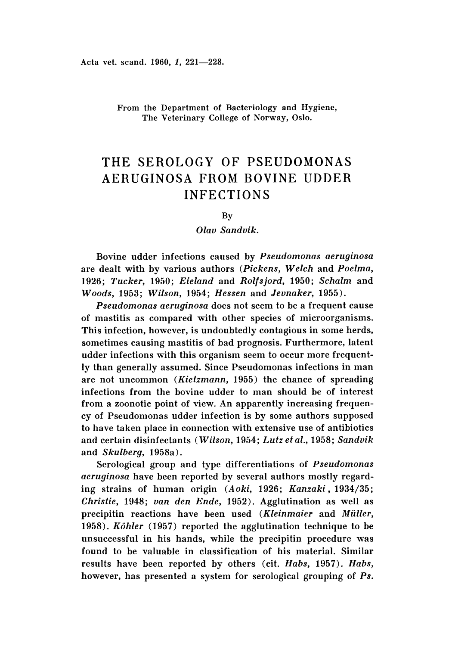From the Department of Bacteriology and Hygiene, The Veterinary College of Norway, Oslo.

# THE SEROLOGY OF PSEUDOMONAS AERUGINOSA FROM BOVINE UDDER INFECTIONS

### By

# *Olav Sandvik.*

Bovine udder infections caused by *Pseudomonas aeruginosa* are dealt with by various authors *(Pickens, Welch* and *Poelma, 1926 ; Tucker,* 1950; *Eieland* and *Rolfsjord,* 1950; *Schalm* and *Woods,* 1953; *Wilson,* 1954 ; *Hessen* and *Jevnaker, 1955).*

*Pseudomonas aeruginosa* does not seem to be a frequent cause of mastitis as compared with other species of microorganisms. This infection, however, is undoubtedly contagious in some herds, sometimes causing mastitis of bad prognosis. Furthermore, latent udder infections with this organism seem to occur more frequently than generally assumed. Since Pseudomonas infections in man are not uncommon *(Kietzmann,* 1955) the chance of spreading infections from the bovine udder to man should be of interest from a zoonotic point of view. An apparently increasing frequency of Pseudomonas udder infection is by some authors supposed to have taken place in connection with extensive use of antibiotics and certain disinfectants *(Wilson,* 1954; *Lutz etal.,* 1958; *Sandvik* and *Skulberg,* 1958a).

Serological group and type differentiations of *Pseudomonas aeruginosa* have been reported by several authors mostly regarding strains of human origin (A *oki,* 1926; *Kanzaki,* 1934/35; *Christie,* 1948; *van den Ende,* 1952). Agglutination as well as precipitin reactions have been used *(Kleinmaier* and *Muller, 1958) . Kohler* (1957) reported the agglutination technique to be unsuccessful in his hands, while the precipitin procedure was found to be valuable in classification of his material. Similar results have been reported by others (cit. *Habs,* 1957). *Habs,* however, has presented a system for serological grouping of *Ps.*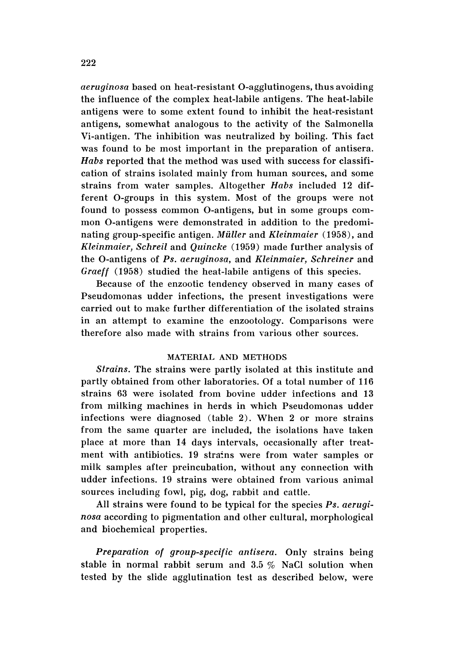*aeruginosa* based on heat-resistant O-agglutinogens, thus avoiding the influence of the complex heat-labile antigens. The heat-labile antigens were to some extent found to inhibit the heat-resistant antigens, somewhat analogous to the activity of the Salmonella Vi-antigen. The inhibition was neutralized by boiling. This fact was found to be most important in the preparation of antisera. *Habs* reported that the method was used with success for classification of strains isolated mainly from human sources, and some strains from water samples. Altogether *Habs* included 12 different O-groups in this system. Most of the groups were not found to possess common O-antigens, but in some groups common O-antigens were demonstrated in addition to the predominating group-specific antigen. *Müller* and *Kleinmaier* (1958), and *Kleinmaier, Schreil* and *Quincke* (1959) made further analysis of the O-antigens of *Ps. aeruqitiosa,* and *Kleinmaier, Schreiner* and *Graeff* (1958) studied the heat-labile antigens of this species.

Because of the enzootic tendency observed in many cases of Pseudomonas udder infections, the present investigations were carried out to make further differentiation of the isolated strains in an attempt to examine the enzootology. Comparisons were therefore also made with strains from various other sources.

# MATERIAL AND METHODS

*Strains.* The strains were partly isolated at this institute and partly obtained from other laboratories. Of a total number of 116 strains 63 were isolated from bovine udder infections and 13 from milking machines in herds in which Pseudomonas udder infections were diagnosed (table 2). When 2 or more strains from the same quarter are included, the isolations have taken place at more than 14 days intervals, occasionally after treatment with antibiotics. 19 strains were from water samples or milk samples after preincubation, without any connection with udder infections. 19 strains were obtained from various animal sources including fowl, pig, dog, rabbit and cattle.

All strains were found to be typical for the species *Ps. aeruginosa* according to pigmentation and other cultural, morphological and biochemical properties.

*Preparation of group-specific antisera.* Only strains being stable in normal rabbit serum and 3.5 % NaCI solution when tested by the slide agglutination test as described below, were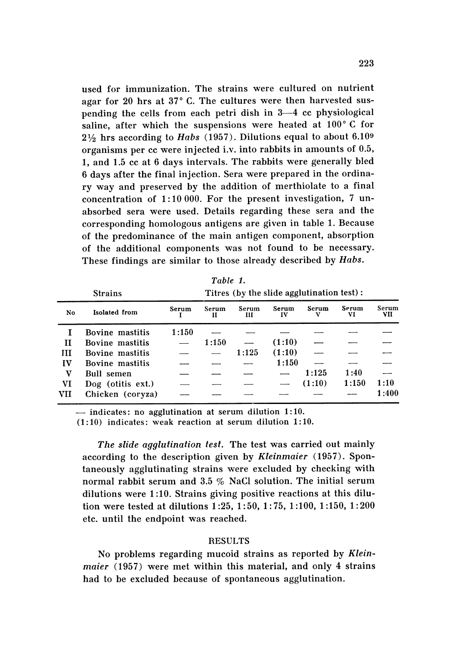used for immunization. The strains were cultured on nutrient agar for 20 hrs at  $37^{\circ}$  C. The cultures were then harvested suspending the cells from each petri dish in 3-4 cc physiological saline, after which the suspensions were heated at  $100^{\circ}$  C for  $2\frac{1}{2}$  hrs according to *Habs* (1957). Dilutions equal to about 6.109 organisms per  $cc$  were injected i.v. into rabbits in amounts of  $0.5$ , 1, and 1.5 cc at 6 days intervals. The rabbits were generally bled 6 days after the final injection. Sera were prepared in the ordinary way and preserved by the addition of merthiolate to a final concentration of  $1:10000$ . For the present investigation, 7 unabsorbed sera were used. Details regarding these sera and the corresponding homologous antigens are given in table 1. Because of the predominance of the main antigen component, absorption of the additional components was not found to be necessary. These findings are similar to those already described by *Habs*.

|     | <b>Strains</b>    | 1 11 U L U L 1<br>Titres (by the slide agglutination test): |                                    |       |             |        |             |       |  |  |  |
|-----|-------------------|-------------------------------------------------------------|------------------------------------|-------|-------------|--------|-------------|-------|--|--|--|
| No  | Isolated from     | Serum                                                       | Serum<br>Serum<br>Ш<br>11<br>1:150 |       | Serum<br>IV | Serum  | Serum<br>VI |       |  |  |  |
|     | Bovine mastitis   |                                                             |                                    |       |             |        |             |       |  |  |  |
| Н   | Bovine mastitis   |                                                             | 1:150                              |       | (1:10)      |        |             |       |  |  |  |
| Ш   | Bovine mastitis   |                                                             |                                    | 1:125 | (1:10)      |        |             |       |  |  |  |
| IV  | Bovine mastitis   |                                                             |                                    |       | 1:150       |        |             |       |  |  |  |
| V   | Bull semen        |                                                             |                                    |       |             | 1:125  | 1:40        |       |  |  |  |
| VI  | Dog (otitis ext.) |                                                             |                                    |       |             | (1:10) | 1:150       | 1:10  |  |  |  |
| VII | Chicken (coryza)  |                                                             |                                    |       |             |        |             | 1:400 |  |  |  |

*Table 1.*

 $-$  indicates: no agglutination at serum dilution 1:10.

 $(1:10)$  indicates: weak reaction at serum dilution 1:10.

The *slide agglutination test*. The test was carried out mainly according to the description given by *Kleinmaier* (1957). Spontaneously agglutinating strains were excluded by checking with normal rabbit serum and 3.5  $\%$  NaCl solution. The initial serum dilutions were 1:10. Strains giving positive reactions at this dilution were tested at dilutions  $1:25, 1:50, 1:75, 1:100, 1:150, 1:200$ etc. until the endpoint was reached.

#### **RESULTS**

No problems regarding mucoid strains as reported by *Kleinmaier* (1957) were met within this material, and only 4 strains had to be excluded because of spontaneous agglutination.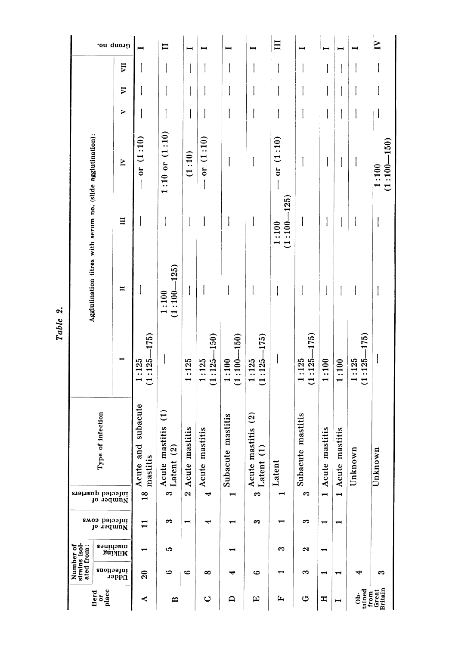| Gronp no.                                                  |                           |                                                  | $\mathbf{I}$                                          | I                                      |                          |                                                |                                                    | $\Xi$                              |                            |                                    |                                     |                                           | $\mathbf{N}$             |
|------------------------------------------------------------|---------------------------|--------------------------------------------------|-------------------------------------------------------|----------------------------------------|--------------------------|------------------------------------------------|----------------------------------------------------|------------------------------------|----------------------------|------------------------------------|-------------------------------------|-------------------------------------------|--------------------------|
|                                                            | Ę                         |                                                  | I                                                     |                                        |                          |                                                |                                                    |                                    |                            |                                    |                                     |                                           |                          |
|                                                            | $\overline{v}$            |                                                  |                                                       |                                        |                          |                                                |                                                    |                                    |                            |                                    |                                     |                                           |                          |
|                                                            | >                         |                                                  | I                                                     |                                        |                          |                                                |                                                    |                                    |                            |                                    |                                     |                                           |                          |
|                                                            | $\geq$                    | $-$ or $(1:10)$                                  | $1:10$ or $(1:10)$                                    | (1:10)                                 | $-$ or $(1:10)$          |                                                | I                                                  | $-$ or $(1:10)$                    |                            |                                    |                                     |                                           | $(1:100 - 150)$<br>1:100 |
|                                                            | Ξ                         |                                                  | I                                                     |                                        |                          |                                                | $\overline{\phantom{a}}$                           | $(1:100 - 125)$<br>1:100           |                            |                                    |                                     |                                           | I                        |
| Agglutination titres with serum no. (slide agglutination): | $\blacksquare$            |                                                  | $(1:100 - 125)$<br>1:100                              |                                        |                          |                                                |                                                    |                                    |                            |                                    |                                     |                                           |                          |
|                                                            |                           | $(1:125 - 175)$<br>1:125                         |                                                       | 1:125                                  | $(1:125 - 150)$<br>1:125 | $(1:100 - 150)$<br>1:100                       | $(1:125 - 175)$<br>1:125                           |                                    | $(1:125 - 175)$<br>1:125   | 1:100                              | 1:100                               | $(1:125 - 175)$<br>1:125                  | $\overline{\phantom{a}}$ |
| Type of infection<br>infected quarters<br>Jo 19dmuN        |                           | Acute and subacute<br>mastitis<br>$\frac{8}{16}$ | mastitis (1)<br>$\widehat{a}$<br>Acute<br>Latent<br>ಌ | mastitis<br>Acute<br>$\mathbf{\Omega}$ | nastitis<br>Acute<br>Ļ   | te mastitis<br>Subacu<br>$\mathbf{\mathbf{t}}$ | Acute mastitis (2)<br>$\widehat{E}$<br>Latent<br>S | Latent<br>$\overline{\phantom{a}}$ | te mastitis<br>Subacu<br>က | nastitis<br>Acute<br>$\overline{}$ | mastitis<br>Acute<br>$\blacksquare$ | Unknown                                   | Unknown                  |
| infected cows<br>Jo 19dmuN                                 |                           | $\mathbf{1}$                                     | က                                                     | $\mathbin{\blacksquare}$               | ⊣                        |                                                | S                                                  |                                    | ణ                          | $\overline{\phantom{0}}$           | $\blacksquare$                      |                                           |                          |
|                                                            | ranines<br><b>SuilliM</b> |                                                  | ı0                                                    |                                        |                          |                                                |                                                    | က                                  | N                          | ↽                                  |                                     |                                           |                          |
| Number of<br>strains isol-<br>ated from :                  | infections                | $\Omega$                                         | అ                                                     | అ                                      | ∞                        | ᢦ                                              | $\bullet$                                          |                                    | ಣ                          | $\overline{\phantom{a}}$           |                                     | ₩                                         | s                        |
| Udder<br>or<br>place<br>Herd                               |                           | ≺                                                | $\mathbf{a}$                                          |                                        | $\circ$                  | ≏                                              | $\boxed{1}$                                        | L,                                 | ت                          | Ξ                                  | I                                   | Ob-<br>tained<br>from<br>Great<br>Britain |                          |

Table 2.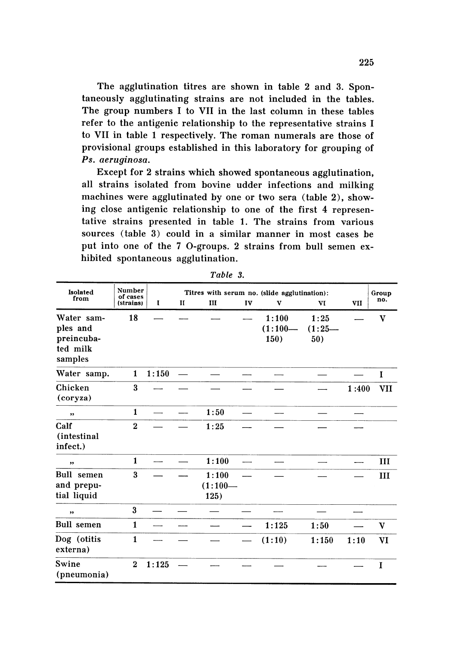The agglutination titres are shown in table 2 and 3. Spontaneously agglutinating strains are not included in the tables. The group numbers I to VII in the last column in these tables refer to the antigenic relationship to the representative strains I to VII in table 1 respectively. The roman numerals are those of provisional groups established in this laboratory for grouping of Ps. aeruginosa.

Except for 2 strains which showed spontaneous agglutination, all strains isolated from bovine udder infections and milking machines were agglutinated by one or two sera (table 2), showing close antigenic relationship to one of the first 4 representative strains presented in table 1. The strains from various sources (table 3) could in a similar manner in most cases be put into one of the 7 O-groups. 2 strains from bull semen exhibited spontaneous agglutination.

| Isolated                                                    | Number<br>of cases<br>(strains) |       |              | Group                      |    |                            |                         |       |              |
|-------------------------------------------------------------|---------------------------------|-------|--------------|----------------------------|----|----------------------------|-------------------------|-------|--------------|
| from                                                        |                                 | I     | $\mathbf{I}$ | III                        | IV | $\mathbf{v}$               | VI                      | VII   | no.          |
| Water sam-<br>ples and<br>preincuba-<br>ted milk<br>samples | 18                              |       |              |                            |    | 1:100<br>$(1:100-$<br>150) | 1:25<br>$(1:25-$<br>50) |       | $\mathbf{v}$ |
| Water samp.                                                 | $\mathbf{1}$                    | 1:150 |              |                            |    |                            |                         |       | I            |
| Chicken<br>(coryza)                                         | 3                               |       |              |                            |    |                            |                         | 1:400 | VII          |
| ,                                                           | $\mathbf{1}$                    |       |              | 1:50                       |    |                            |                         |       |              |
| Calf<br>(intestinal)<br>infect.)                            | $\overline{2}$                  |       |              | 1:25                       |    |                            |                         |       |              |
| ,,                                                          | $\mathbf{1}$                    |       |              | 1:100                      |    |                            |                         |       | III          |
| <b>Bull</b> semen<br>and prepu-<br>tial liquid              | $\bf{3}$                        |       |              | 1:100<br>$(1:100-$<br>125) |    |                            |                         |       | III          |
| ,,                                                          | 3                               |       |              |                            |    |                            |                         |       |              |
| <b>Bull</b> semen                                           | $\mathbf{1}$                    |       |              |                            |    | 1:125                      | 1:50                    |       | v            |
| Dog (otitis<br>externa)                                     | $\mathbf{1}$                    |       |              |                            |    | (1:10)                     | 1:150                   | 1:10  | VI           |
| Swine<br>(pneumonia)                                        | $\overline{2}$                  | 1:125 |              |                            |    |                            |                         |       | I            |

Table 3.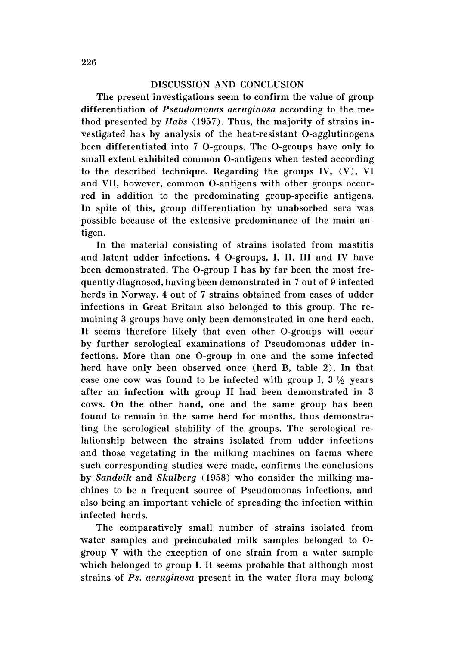# DISCUSSION AND CONCLUSION

The present investigations seem to confirm the value of group differentiation of *Pseudomonas aeruginosa* according to the method presented by *Habs* (1957). Thus, the majority of strains investigated has by analysis of the heat-resistant O-agglutinogens been differentiated into 7 O-groups. The O-groups have only to small extent exhibited common O-antigens when tested according to the described technique. Regarding the groups IV, (V), VI and VII, however, common O-antigens with other groups occurred in addition to the predominating group-specific antigens. In spite of this, group differentiation by unabsorbed sera was possible because of the extensive predominance of the main antigen.

In the material consisting of strains isolated from mastitis and latent udder infections, 4 O-groups, I, II, III and IV have been demonstrated. The O-group I has by far been the most frequently diagnosed, having been demonstrated in 7 out of 9 infected herds in Norway. 4 out of 7 strains obtained from cases of udder infections in Great Britain also belonged to this group. The remaining 3 groups have only been demonstrated in one herd each. It seems therefore likely that even other O-groups will occur by further serological examinations of Pseudomonas udder infections. More than one O-group in one and the same infected herd have only been observed once (herd B, table 2). In that case one cow was found to be infected with group I,  $3\frac{1}{2}$  years after an infection with group II had been demonstrated in 3 cows. On the other hand, one and the same group has been found to remain in the same herd for months, thus demonstrating the serological stability of the groups. The serological relationship between the strains isolated from udder infections and those vegetating in the milking machines on farms where such corresponding studies were made, confirms the conclusions by *Sandvik* and *Skulberg* (1958) who consider the milking machines to be a frequent source of Pseudomonas infections, and also being an important vehicle of spreading the infection within infected herds.

The comparatively small number of strains isolated from water samples and preincubated milk samples belonged to 0 group V with the exception of one strain from a water sample which belonged to group I. It seems probable that although most strains of *Ps. aeruginosa* present in the water flora may belong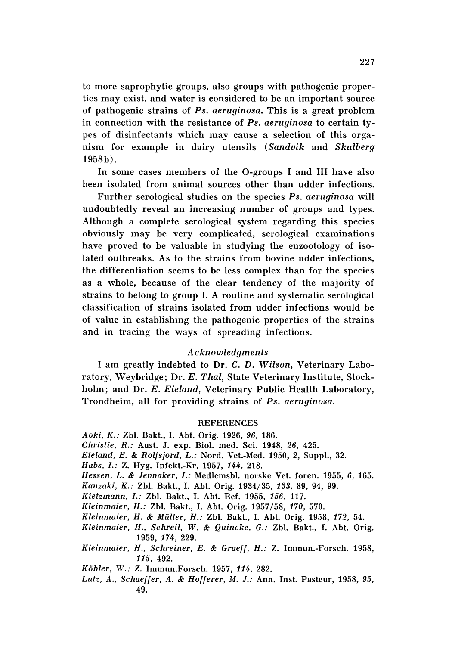to more saprophytic groups, also groups with pathogenic properties may exist, and water is considered to be an important source of pathogenic strains of *Ps . aeruginosa.* This is a great problem in connection with the resistance of *Ps. aeruginosa* to certain ty pes of disinfectants which may cause a selection of this organism for example in dairy utensils *(Sandvik* and *Skulberg* 1958b).

In some cases members of the O-groups I and III have also been isolated from animal sources other than udder infections.

Further serological studies on the species *Ps . aeruginosa* will undoubtedly reveal an increasing number of groups and types. Although a complete serological system regarding this species obviously may be very complicated, serological examinations have proved to be valuable in studying the enzootology of isolated outbreaks. As to the strains from bovine udder infections, the differentiation seems to be less complex than for the species as a whole, because of the clear tendency of the majority of strains to belong to group I. A routine and systematic serological classification of strains isolated from udder infections would be of value in establishing the pathogenic properties of the strains and in tracing the ways of spreading infections.

# *Acknowledgments*

I am greatly indebted to Dr. C. D. *Wilson,* Veterinary Laboratory, Weybridge; Dr. E. *Thai,* State Veterinary Institute, Stockholm; and Dr. *E. Eieland*, Veterinary Public Health Laboratory, Trondheim, all for providing strains of *Ps, aeruginosa.*

# **REFERENCES**

- Aoki, K.: Zbl. Bakt., I. Abt. Orig. 1926, 96, 186.
- *Christie, R.: Aust. J. exp. Biol. med. Sci. 1948, 26, 425.*
- *Eieland, E.* & *Rolfsjord, L.:* Nord. Vet.-Med. 1950, 2, Suppl., 32.
- *Habs , I.:* Z. Hyg. Infekt.-Kr. 1957, 144, 218.
- *Hessen, L.* & *Jevnaker, I.:* MedlemsbI. norske Vet. foren. 1955, 6, 165.
- *Kanzaki, K.: Zbl. Bakt., I. Abt. Orig. 1934/35, 133, 89, 94, 99.*
- *Kietzmann, I.:* ZbI. Bakt., I. Abt. Ref. 1955, 156, 117.
- *Kleinmaier, H.:* Zbl. Bakt., I. Abt. Orig. 1957/58, *170, 570.*
- Kleinmaier, H. & Müller, H.: Zbl. Bakt., I. Abt. Orig. 1958, 172, 54.
- *Kleinmaier, H., Schreil,* W. & *Quincke, G.:* ZbI. Bakt., I. Abt. Ortg. 1959, 174, 229.
- *Kleinmaier, H., Schreiner, E.* & *Graeff, H.:* Z. Immun.-Forsch. 1958, 115, 492.
- *Kohler, W.: Z.* Immun.Forsch, 1957, 114, 282.
- *Lutz, A., Schaeffer, A. & Hofferer, M. J.: Ann. Inst. Pasteur, 1958, 95,* 49.